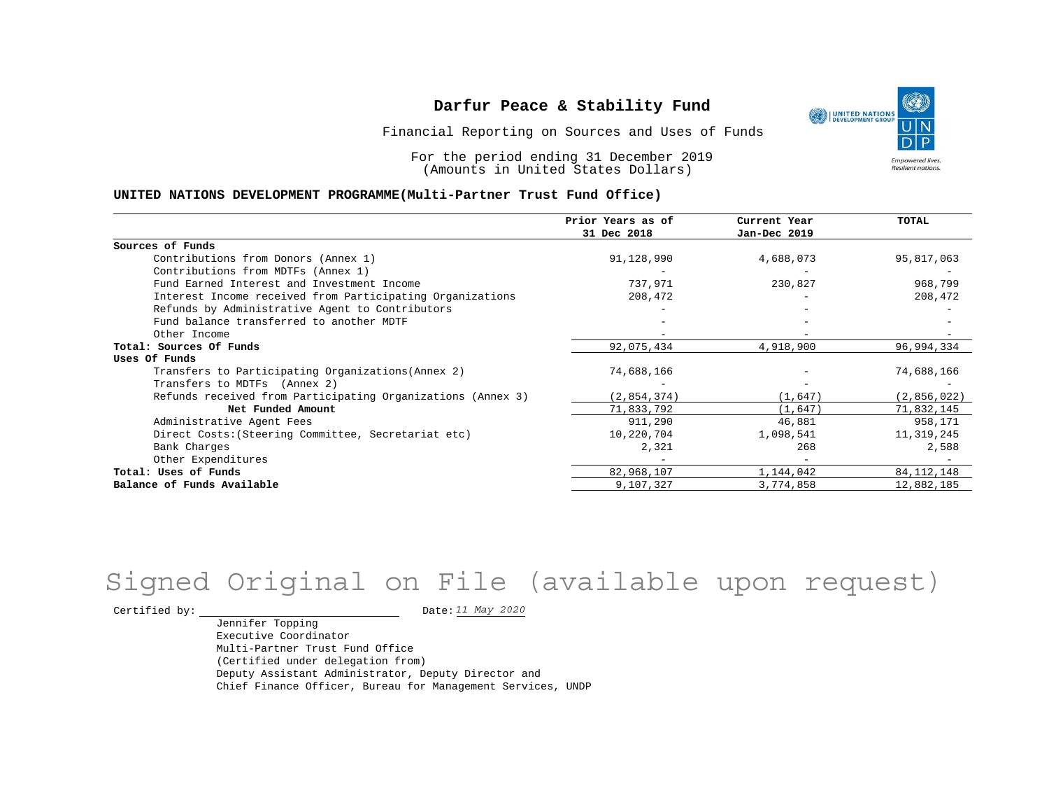Financial Reporting on Sources and Uses of Funds

For the period ending 31 December 2019 (Amounts in United States Dollars)

#### **UNITED NATIONS DEVELOPMENT PROGRAMME(Multi-Partner Trust Fund Office)**

|                                                             | Prior Years as of | Current Year | TOTAL        |
|-------------------------------------------------------------|-------------------|--------------|--------------|
|                                                             | 31 Dec 2018       | Jan-Dec 2019 |              |
| Sources of Funds                                            |                   |              |              |
| Contributions from Donors (Annex 1)                         | 91,128,990        | 4,688,073    | 95,817,063   |
| Contributions from MDTFs (Annex 1)                          |                   |              |              |
| Fund Earned Interest and Investment Income                  | 737,971           | 230,827      | 968,799      |
| Interest Income received from Participating Organizations   | 208,472           | $-$          | 208,472      |
| Refunds by Administrative Agent to Contributors             |                   |              |              |
| Fund balance transferred to another MDTF                    |                   |              |              |
| Other Income                                                |                   |              |              |
| Total: Sources Of Funds                                     | 92,075,434        | 4,918,900    | 96,994,334   |
| Uses Of Funds                                               |                   |              |              |
| Transfers to Participating Organizations (Annex 2)          | 74,688,166        |              | 74,688,166   |
| Transfers to MDTFs (Annex 2)                                |                   |              |              |
| Refunds received from Participating Organizations (Annex 3) | (2,854,374)       | (1,647)      | (2,856,022)  |
| Net Funded Amount                                           | 71,833,792        | (1,647)      | 71,832,145   |
| Administrative Agent Fees                                   | 911,290           | 46,881       | 958,171      |
| Direct Costs: (Steering Committee, Secretariat etc)         | 10,220,704        | 1,098,541    | 11,319,245   |
| Bank Charges                                                | 2,321             | 268          | 2,588        |
| Other Expenditures                                          |                   |              |              |
| Total: Uses of Funds                                        | 82,968,107        | 1,144,042    | 84, 112, 148 |
| Balance of Funds Available                                  | 9,107,327         | 3,774,858    | 12,882,185   |

# Signed Original on File (available upon request)

Certified by:  $\frac{11 May 2020}{100}$ 

Jennifer Topping Executive Coordinator Multi-Partner Trust Fund Office (Certified under delegation from) Deputy Assistant Administrator, Deputy Director and Chief Finance Officer, Bureau for Management Services, UNDP

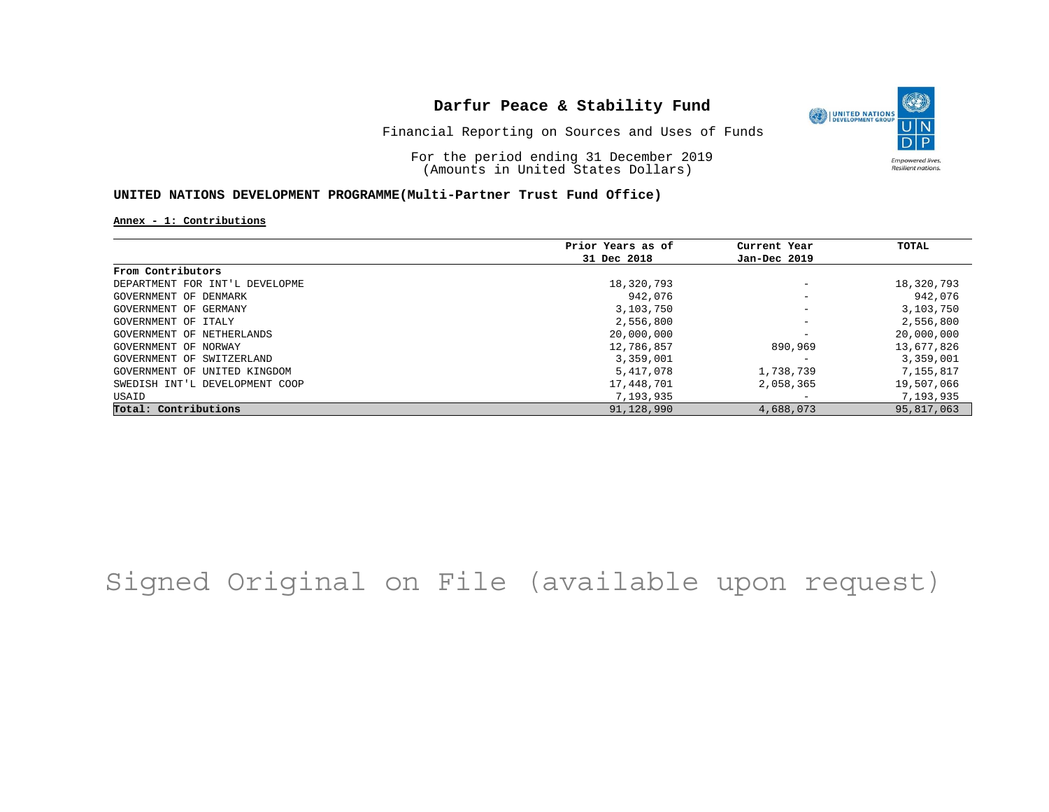O UNITED NATIONS **Empowered lives** Resilient nations.

Financial Reporting on Sources and Uses of Funds

For the period ending 31 December 2019 (Amounts in United States Dollars)

#### **UNITED NATIONS DEVELOPMENT PROGRAMME(Multi-Partner Trust Fund Office)**

**Annex - 1: Contributions**

|                                | Prior Years as of | Current Year             | <b>TOTAL</b> |
|--------------------------------|-------------------|--------------------------|--------------|
|                                | 31 Dec 2018       | Jan-Dec 2019             |              |
| From Contributors              |                   |                          |              |
| DEPARTMENT FOR INT'L DEVELOPME | 18,320,793        | $\overline{\phantom{m}}$ | 18,320,793   |
| GOVERNMENT OF DENMARK          | 942,076           | $\qquad \qquad -$        | 942,076      |
| GOVERNMENT OF GERMANY          | 3,103,750         | $\overline{\phantom{m}}$ | 3,103,750    |
| GOVERNMENT OF ITALY            | 2,556,800         | $\overline{\phantom{m}}$ | 2,556,800    |
| GOVERNMENT OF NETHERLANDS      | 20,000,000        | $\overline{\phantom{m}}$ | 20,000,000   |
| GOVERNMENT OF NORWAY           | 12,786,857        | 890,969                  | 13,677,826   |
| GOVERNMENT OF SWITZERLAND      | 3,359,001         | -                        | 3,359,001    |
| GOVERNMENT OF UNITED KINGDOM   | 5,417,078         | 1,738,739                | 7,155,817    |
| SWEDISH INT'L DEVELOPMENT COOP | 17,448,701        | 2,058,365                | 19,507,066   |
| USAID                          | 7,193,935         | $\overline{\phantom{m}}$ | 7,193,935    |
| Total: Contributions           | 91,128,990        | 4,688,073                | 95,817,063   |

## Signed Original on File (available upon request)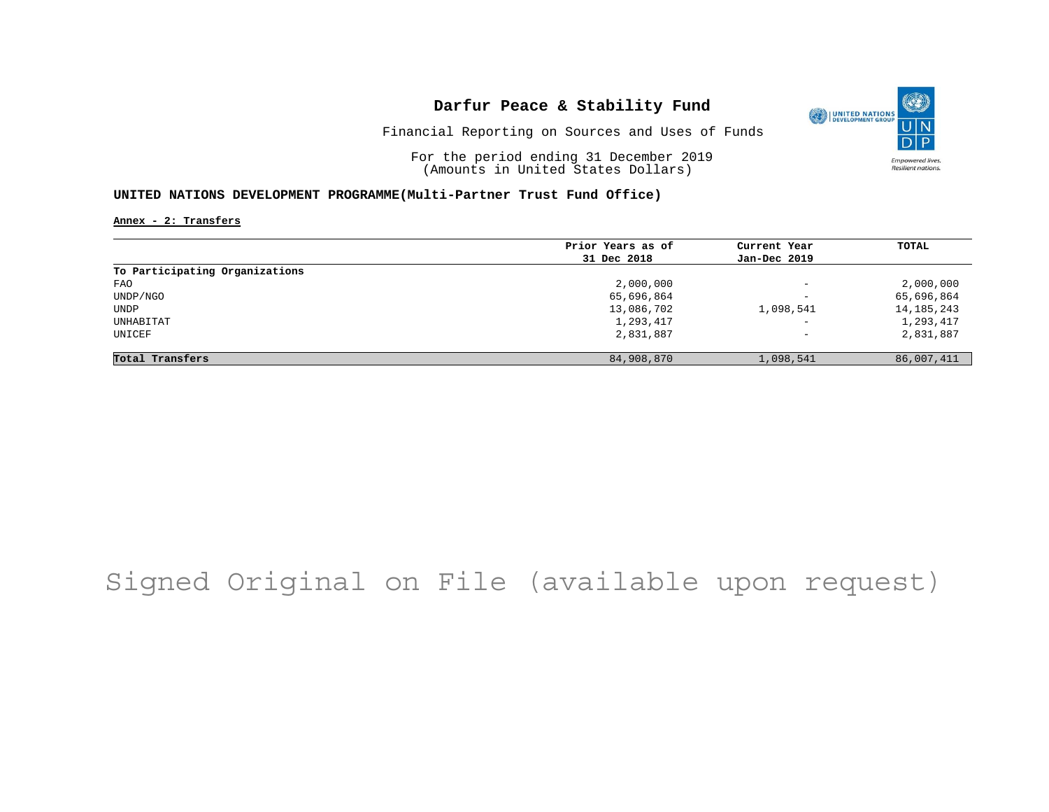

Financial Reporting on Sources and Uses of Funds

For the period ending 31 December 2019 (Amounts in United States Dollars)

#### **UNITED NATIONS DEVELOPMENT PROGRAMME(Multi-Partner Trust Fund Office)**

**Annex - 2: Transfers**

|                                | Prior Years as of | Current Year             | TOTAL        |
|--------------------------------|-------------------|--------------------------|--------------|
|                                | 31 Dec 2018       | Jan-Dec 2019             |              |
| To Participating Organizations |                   |                          |              |
| FAO                            | 2,000,000         | $\qquad \qquad -$        | 2,000,000    |
| UNDP/NGO                       | 65,696,864        | $\overline{\phantom{0}}$ | 65,696,864   |
| UNDP                           | 13,086,702        | 1,098,541                | 14, 185, 243 |
| UNHABITAT                      | 1,293,417         | $\qquad \qquad -$        | 1,293,417    |
| UNICEF                         | 2,831,887         | $\qquad \qquad -$        | 2,831,887    |
| Total Transfers                | 84,908,870        | 1,098,541                | 86,007,411   |

## Signed Original on File (available upon request)